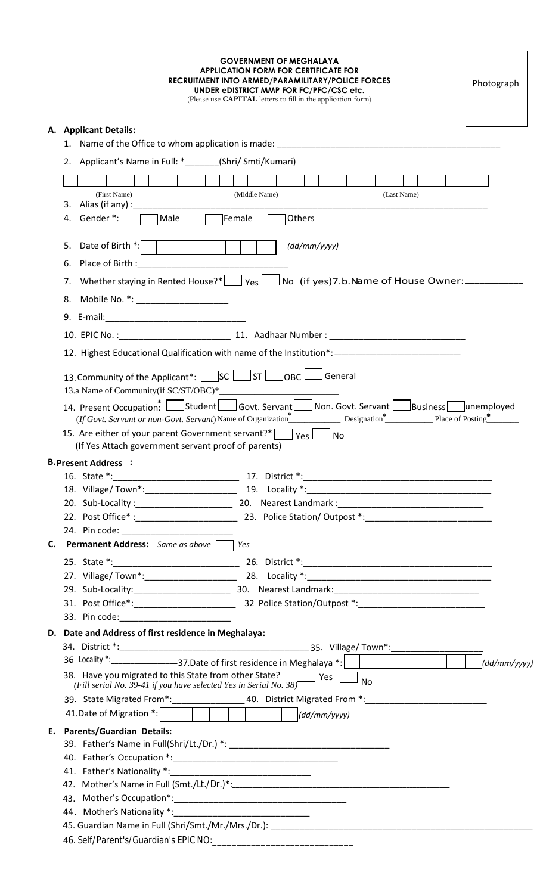#### **GOVERNMENT OF MEGHALAYA APPLICATION FORM FOR CERTIFICATE FOR RECRUITMENT INTO ARMED/PARAMILITARY/POLICE FORCES UNDER eDISTRICT MMP FOR FC/PFC/CSC etc.**

(Please use **CAPITAL** letters to fill in the application form)

## **A. Applicant Details:**

1. Name of the Office to whom application is made: \_\_\_\_\_\_\_\_\_\_\_\_\_\_\_\_\_\_\_\_\_\_\_\_\_\_\_\_\_

|                                                                                             |    | 2. Applicant's Name in Full: * _ _ _ _ _ (Shri/ Smti/Kumari)                                                                                                                                                                   |  |  |
|---------------------------------------------------------------------------------------------|----|--------------------------------------------------------------------------------------------------------------------------------------------------------------------------------------------------------------------------------|--|--|
|                                                                                             |    |                                                                                                                                                                                                                                |  |  |
|                                                                                             |    | (First Name)<br>(Middle Name)<br>(Last Name)                                                                                                                                                                                   |  |  |
|                                                                                             | 3. |                                                                                                                                                                                                                                |  |  |
|                                                                                             | 4. | Female<br>Male<br>Others<br>Gender *:                                                                                                                                                                                          |  |  |
|                                                                                             | 5. | Date of Birth *:<br>(dd/mm/yyyy)                                                                                                                                                                                               |  |  |
|                                                                                             |    |                                                                                                                                                                                                                                |  |  |
|                                                                                             | 6. | Place of Birth:                                                                                                                                                                                                                |  |  |
| Whether staying in Rented House?*   yes   ves   No (if yes) 7.b. Name of House Owner:<br>7. |    |                                                                                                                                                                                                                                |  |  |
|                                                                                             |    | 8. Mobile No. *: ____________________                                                                                                                                                                                          |  |  |
|                                                                                             |    |                                                                                                                                                                                                                                |  |  |
|                                                                                             |    |                                                                                                                                                                                                                                |  |  |
|                                                                                             |    | 12. Highest Educational Qualification with name of the Institution*: ______________________________                                                                                                                            |  |  |
|                                                                                             |    |                                                                                                                                                                                                                                |  |  |
| 13. Community of the Applicant*: SC ST ST OBC General                                       |    |                                                                                                                                                                                                                                |  |  |
|                                                                                             |    |                                                                                                                                                                                                                                |  |  |
| 14. Present Occupation: Student Govt. Servant Non. Govt. Servant Business unemployed        |    |                                                                                                                                                                                                                                |  |  |
|                                                                                             |    | 15. Are either of your parent Government servant?* $\Box$ Yes $\Box$ No                                                                                                                                                        |  |  |
|                                                                                             |    | (If Yes Attach government servant proof of parents)                                                                                                                                                                            |  |  |
|                                                                                             |    | <b>B. Present Address :</b>                                                                                                                                                                                                    |  |  |
|                                                                                             |    |                                                                                                                                                                                                                                |  |  |
|                                                                                             |    |                                                                                                                                                                                                                                |  |  |
|                                                                                             |    |                                                                                                                                                                                                                                |  |  |
|                                                                                             |    |                                                                                                                                                                                                                                |  |  |
|                                                                                             |    |                                                                                                                                                                                                                                |  |  |
|                                                                                             |    | <b>C.</b> Permanent Address: Same as above <u>and</u> Yes                                                                                                                                                                      |  |  |
|                                                                                             |    |                                                                                                                                                                                                                                |  |  |
|                                                                                             |    |                                                                                                                                                                                                                                |  |  |
|                                                                                             |    |                                                                                                                                                                                                                                |  |  |
|                                                                                             |    |                                                                                                                                                                                                                                |  |  |
|                                                                                             |    |                                                                                                                                                                                                                                |  |  |
|                                                                                             |    | D. Date and Address of first residence in Meghalaya:                                                                                                                                                                           |  |  |
|                                                                                             |    |                                                                                                                                                                                                                                |  |  |
|                                                                                             |    | (dd/mm/yyyy)                                                                                                                                                                                                                   |  |  |
|                                                                                             |    | 38. Have you migrated to this State from other State? Tables<br>No<br>(Fill serial No. 39-41 if you have selected Yes in Serial No. 38)                                                                                        |  |  |
|                                                                                             |    | 39. State Migrated From*: 40. District Migrated From *: 40. District Migrated From *:                                                                                                                                          |  |  |
|                                                                                             |    | $\vert$ (dd/mm/yyyy)                                                                                                                                                                                                           |  |  |
|                                                                                             |    | E. Parents/Guardian Details:                                                                                                                                                                                                   |  |  |
|                                                                                             |    |                                                                                                                                                                                                                                |  |  |
|                                                                                             |    |                                                                                                                                                                                                                                |  |  |
|                                                                                             |    |                                                                                                                                                                                                                                |  |  |
|                                                                                             |    |                                                                                                                                                                                                                                |  |  |
|                                                                                             |    |                                                                                                                                                                                                                                |  |  |
|                                                                                             |    | 44. Mother's Nationality *: North and Manuscripture of the Manuscripture of the Manuscripture of the Manuscripture of the Manuscripture of the Manuscripture of the Manuscripture of the Manuscripture of the Manuscripture of |  |  |
|                                                                                             |    | 45. Guardian Name in Full (Shri/Smt./Mr./Mrs./Dr.): ____________________________                                                                                                                                               |  |  |
|                                                                                             |    |                                                                                                                                                                                                                                |  |  |
|                                                                                             |    |                                                                                                                                                                                                                                |  |  |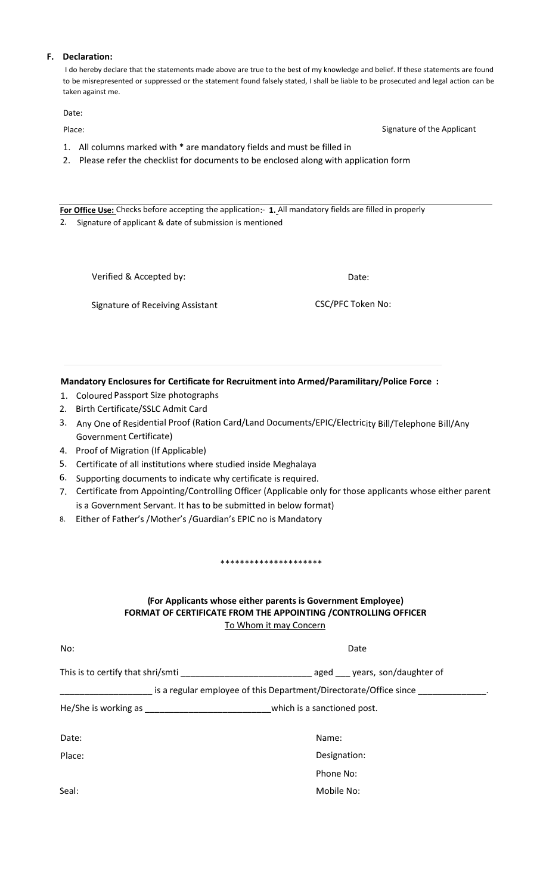### **F. Declaration:**

I do hereby declare that the statements made above are true to the best of my knowledge and belief. If these statements are found to be misrepresented or suppressed or the statement found falsely stated, I shall be liable to be prosecuted and legal action can be taken against me.

Date:

Place: Signature of the Applicant Communication of the Applicant Communication of the Applicant Communication of the Applicant

- 1. All columns marked with \* are mandatory fields and must be filled in
- 2. Please refer the checklist for documents to be enclosed along with application form

For Office Use: Checks before accepting the application:- 1. All mandatory fields are filled in properly 2. Signature of applicant & date of submission is mentioned

Verified & Accepted by: Date:

Signature of Receiving Assistant CSC/PFC Token No:

**Mandatory Enclosures for Certificate for Recruitment into Armed/Paramilitary/Police Force :**

- 1. Coloured Passport Size photographs
- 2. Birth Certificate/SSLC Admit Card
- Government Certificate) 3. Any One of Residential Proof (Ration Card/Land Documents/EPIC/Electricity Bill/Telephone Bill/Any
- 4. Proof of Migration (If Applicable)
- 5. Certificate of all institutions where studied inside Meghalaya
- 6. Supporting documents to indicate why certificate is required.
- is a Government Servant. It has to be submitted in below format) 7. Certificate from Appointing/Controlling Officer (Applicable only for those applicants whose either parent
- 8. Either of Father's /Mother's /Guardian's EPIC no is Mandatory

\*\*\*\*\*\*\*\*\*\*\*\*\*\*\*\*\*\*\*\*\*

# To Whom it may Concern **FORMAT OF CERTIFICATE FROM THE APPOINTING /CONTROLLING OFFICER (For Applicants whose either parents is Government Employee)**

| No:                                                                                                                                                                                                                                 | Date                        |
|-------------------------------------------------------------------------------------------------------------------------------------------------------------------------------------------------------------------------------------|-----------------------------|
| This is to certify that shri/smti                                                                                                                                                                                                   | aged years, son/daughter of |
| is a regular employee of this Department/Directorate/Office since                                                                                                                                                                   |                             |
| He/She is working as <b>Sheriff</b> and the state of the state of the state of the state of the state of the state of the state of the state of the state of the state of the state of the state of the state of the state of the s | which is a sanctioned post. |
| Date:                                                                                                                                                                                                                               | Name:                       |
| Place:                                                                                                                                                                                                                              | Designation:                |
|                                                                                                                                                                                                                                     | Phone No:                   |
| Seal:                                                                                                                                                                                                                               | Mobile No:                  |